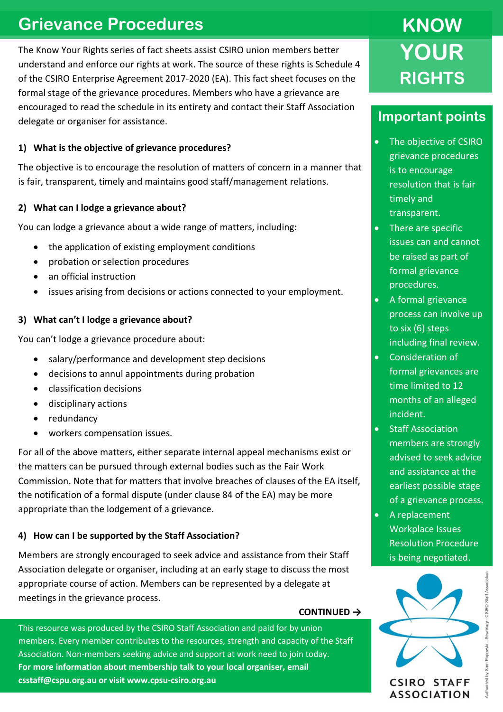## **Grievance Procedures**

The Know Your Rights series of fact sheets assist CSIRO union members better understand and enforce our rights at work. The source of these rights is Schedule 4 of the CSIRO Enterprise Agreement 2017-2020 (EA). This fact sheet focuses on the formal stage of the grievance procedures. Members who have a grievance are encouraged to read the schedule in its entirety and contact their Staff Association delegate or organiser for assistance.

### **1) What is the objective of grievance procedures?**

The objective is to encourage the resolution of matters of concern in a manner that is fair, transparent, timely and maintains good staff/management relations.

### **2) What can I lodge a grievance about?**

You can lodge a grievance about a wide range of matters, including:

- the application of existing employment conditions
- probation or selection procedures
- an official instruction
- issues arising from decisions or actions connected to your employment.

### **3) What can't I lodge a grievance about?**

You can't lodge a grievance procedure about:

- salary/performance and development step decisions
- decisions to annul appointments during probation
- classification decisions
- disciplinary actions
- redundancy
- workers compensation issues.

For all of the above matters, either separate internal appeal mechanisms exist or the matters can be pursued through external bodies such as the Fair Work Commission. Note that for matters that involve breaches of clauses of the EA itself, the notification of a formal dispute (under clause 84 of the EA) may be more appropriate than the lodgement of a grievance.

### **4) How can I be supported by the Staff Association?**

Members are strongly encouraged to seek advice and assistance from their Staff Association delegate or organiser, including at an early stage to discuss the most appropriate course of action. Members can be represented by a delegate at meetings in the grievance process.

#### **CONTINUED →**

This resource was produced by the CSIRO Staff Association and paid for by union members. Every member contributes to the resources, strength and capacity of the Staff Association. Non-members seeking advice and support at work need to join today. **For more information about membership talk to your local organiser, email csstaff@cspu.org.au or visit www.cpsu-csiro.org.au**

# **KNOW YOUR RIGHTS**

### **Important points**

- The objective of CSIRO grievance procedures is to encourage resolution that is fair timely and transparent.
- There are specific issues can and cannot be raised as part of formal grievance procedures.
- A formal grievance process can involve up to six (6) steps including final review.
- Consideration of formal grievances are time limited to 12 months of an alleged incident.
- Staff Association members are strongly advised to seek advice and assistance at the earliest possible stage of a grievance process.
- A replacement Workplace Issues Resolution Procedure is being negotiated.